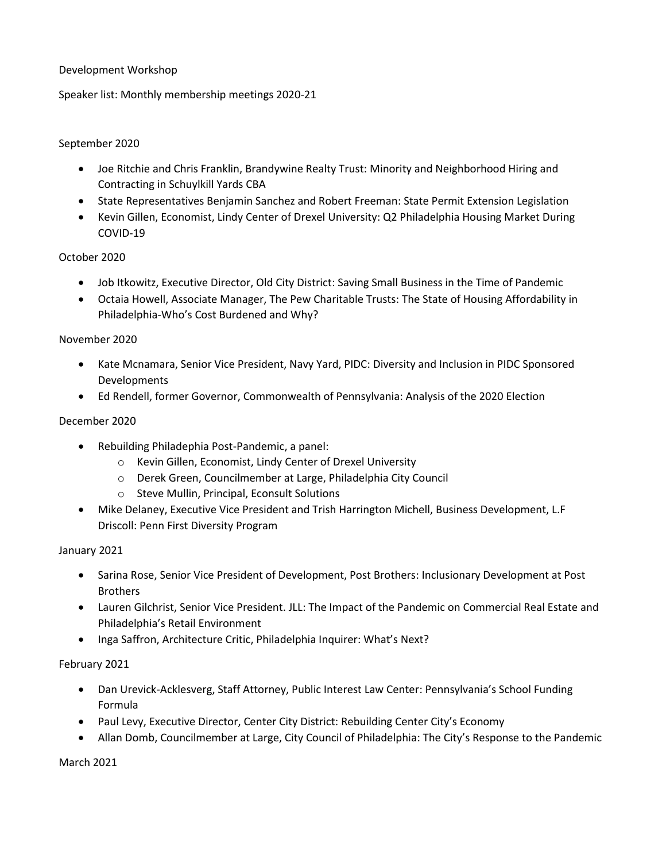## Development Workshop

Speaker list: Monthly membership meetings 2020-21

## September 2020

- Joe Ritchie and Chris Franklin, Brandywine Realty Trust: Minority and Neighborhood Hiring and Contracting in Schuylkill Yards CBA
- State Representatives Benjamin Sanchez and Robert Freeman: State Permit Extension Legislation
- Kevin Gillen, Economist, Lindy Center of Drexel University: Q2 Philadelphia Housing Market During COVID-19

## October 2020

- Job Itkowitz, Executive Director, Old City District: Saving Small Business in the Time of Pandemic
- Octaia Howell, Associate Manager, The Pew Charitable Trusts: The State of Housing Affordability in Philadelphia-Who's Cost Burdened and Why?

#### November 2020

- Kate Mcnamara, Senior Vice President, Navy Yard, PIDC: Diversity and Inclusion in PIDC Sponsored Developments
- Ed Rendell, former Governor, Commonwealth of Pennsylvania: Analysis of the 2020 Election

#### December 2020

- Rebuilding Philadephia Post-Pandemic, a panel:
	- o Kevin Gillen, Economist, Lindy Center of Drexel University
	- o Derek Green, Councilmember at Large, Philadelphia City Council
	- o Steve Mullin, Principal, Econsult Solutions
- Mike Delaney, Executive Vice President and Trish Harrington Michell, Business Development, L.F Driscoll: Penn First Diversity Program

#### January 2021

- Sarina Rose, Senior Vice President of Development, Post Brothers: Inclusionary Development at Post **Brothers**
- Lauren Gilchrist, Senior Vice President. JLL: The Impact of the Pandemic on Commercial Real Estate and Philadelphia's Retail Environment
- Inga Saffron, Architecture Critic, Philadelphia Inquirer: What's Next?

#### February 2021

- Dan Urevick-Acklesverg, Staff Attorney, Public Interest Law Center: Pennsylvania's School Funding Formula
- Paul Levy, Executive Director, Center City District: Rebuilding Center City's Economy
- Allan Domb, Councilmember at Large, City Council of Philadelphia: The City's Response to the Pandemic

March 2021